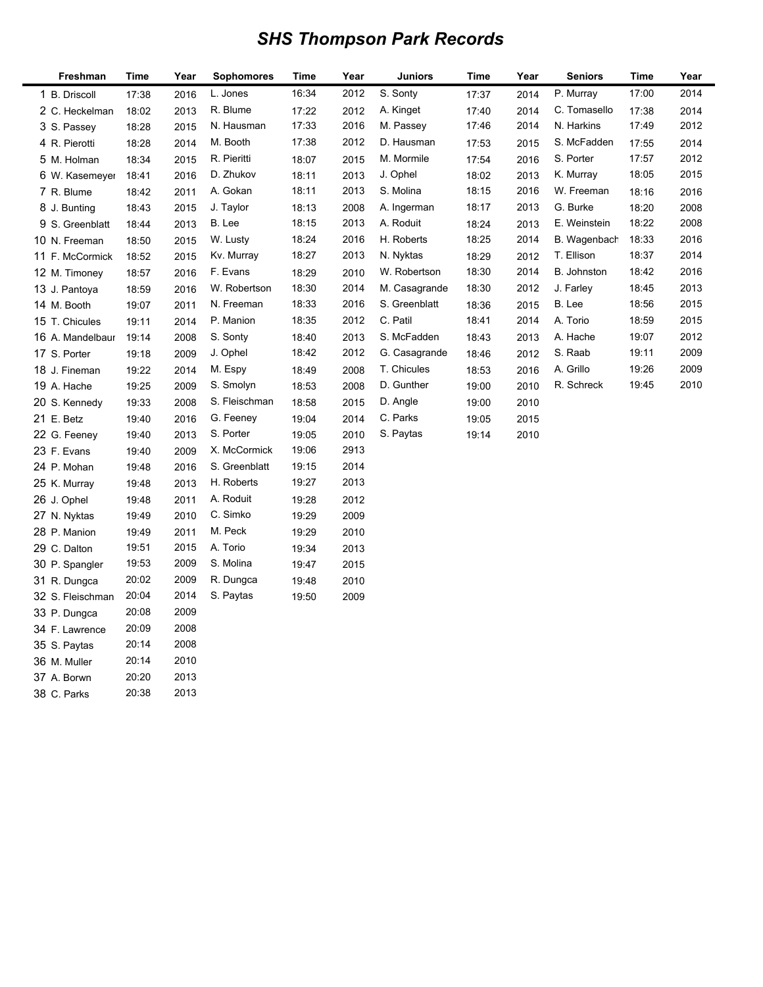## *SHS Thompson Park Records*

| Freshman         | Time  | Year | <b>Sophomores</b> | Time  | Year | <b>Juniors</b> | Time  | Year | <b>Seniors</b> | Time  | Year |
|------------------|-------|------|-------------------|-------|------|----------------|-------|------|----------------|-------|------|
| 1 B. Driscoll    | 17:38 | 2016 | L. Jones          | 16:34 | 2012 | S. Sonty       | 17:37 | 2014 | P. Murray      | 17:00 | 2014 |
| 2 C. Heckelman   | 18:02 | 2013 | R. Blume          | 17:22 | 2012 | A. Kinget      | 17:40 | 2014 | C. Tomasello   | 17:38 | 2014 |
| 3 S. Passey      | 18:28 | 2015 | N. Hausman        | 17:33 | 2016 | M. Passey      | 17:46 | 2014 | N. Harkins     | 17:49 | 2012 |
| 4 R. Pierotti    | 18:28 | 2014 | M. Booth          | 17:38 | 2012 | D. Hausman     | 17:53 | 2015 | S. McFadden    | 17:55 | 2014 |
| 5 M. Holman      | 18:34 | 2015 | R. Pieritti       | 18:07 | 2015 | M. Mormile     | 17:54 | 2016 | S. Porter      | 17:57 | 2012 |
| 6 W. Kasemeyer   | 18:41 | 2016 | D. Zhukov         | 18:11 | 2013 | J. Ophel       | 18:02 | 2013 | K. Murray      | 18:05 | 2015 |
| 7 R. Blume       | 18:42 | 2011 | A. Gokan          | 18:11 | 2013 | S. Molina      | 18:15 | 2016 | W. Freeman     | 18:16 | 2016 |
| 8 J. Bunting     | 18:43 | 2015 | J. Taylor         | 18:13 | 2008 | A. Ingerman    | 18:17 | 2013 | G. Burke       | 18:20 | 2008 |
| 9 S. Greenblatt  | 18:44 | 2013 | B. Lee            | 18:15 | 2013 | A. Roduit      | 18:24 | 2013 | E. Weinstein   | 18:22 | 2008 |
| 10 N. Freeman    | 18:50 | 2015 | W. Lusty          | 18:24 | 2016 | H. Roberts     | 18:25 | 2014 | B. Wagenbach   | 18:33 | 2016 |
| 11 F. McCormick  | 18:52 | 2015 | Kv. Murray        | 18:27 | 2013 | N. Nyktas      | 18:29 | 2012 | T. Ellison     | 18:37 | 2014 |
| 12 M. Timoney    | 18:57 | 2016 | F. Evans          | 18:29 | 2010 | W. Robertson   | 18:30 | 2014 | B. Johnston    | 18:42 | 2016 |
| 13 J. Pantoya    | 18:59 | 2016 | W. Robertson      | 18:30 | 2014 | M. Casagrande  | 18:30 | 2012 | J. Farley      | 18:45 | 2013 |
| 14 M. Booth      | 19:07 | 2011 | N. Freeman        | 18:33 | 2016 | S. Greenblatt  | 18:36 | 2015 | B. Lee         | 18:56 | 2015 |
| 15 T. Chicules   | 19:11 | 2014 | P. Manion         | 18:35 | 2012 | C. Patil       | 18:41 | 2014 | A. Torio       | 18:59 | 2015 |
| 16 A. Mandelbaur | 19:14 | 2008 | S. Sonty          | 18:40 | 2013 | S. McFadden    | 18:43 | 2013 | A. Hache       | 19:07 | 2012 |
| 17 S. Porter     | 19:18 | 2009 | J. Ophel          | 18:42 | 2012 | G. Casagrande  | 18:46 | 2012 | S. Raab        | 19:11 | 2009 |
| 18 J. Fineman    | 19:22 | 2014 | M. Espy           | 18:49 | 2008 | T. Chicules    | 18:53 | 2016 | A. Grillo      | 19:26 | 2009 |
| 19 A. Hache      | 19:25 | 2009 | S. Smolyn         | 18:53 | 2008 | D. Gunther     | 19:00 | 2010 | R. Schreck     | 19:45 | 2010 |
| 20 S. Kennedy    | 19:33 | 2008 | S. Fleischman     | 18:58 | 2015 | D. Angle       | 19:00 | 2010 |                |       |      |
| 21 E. Betz       | 19:40 | 2016 | G. Feeney         | 19:04 | 2014 | C. Parks       | 19:05 | 2015 |                |       |      |
| 22 G. Feeney     | 19:40 | 2013 | S. Porter         | 19:05 | 2010 | S. Paytas      | 19:14 | 2010 |                |       |      |
| 23 F. Evans      | 19:40 | 2009 | X. McCormick      | 19:06 | 2913 |                |       |      |                |       |      |
| 24 P. Mohan      | 19:48 | 2016 | S. Greenblatt     | 19:15 | 2014 |                |       |      |                |       |      |
| 25 K. Murray     | 19:48 | 2013 | H. Roberts        | 19:27 | 2013 |                |       |      |                |       |      |
| 26 J. Ophel      | 19:48 | 2011 | A. Roduit         | 19:28 | 2012 |                |       |      |                |       |      |
| 27 N. Nyktas     | 19:49 | 2010 | C. Simko          | 19:29 | 2009 |                |       |      |                |       |      |
| 28 P. Manion     | 19:49 | 2011 | M. Peck           | 19:29 | 2010 |                |       |      |                |       |      |
| 29 C. Dalton     | 19:51 | 2015 | A. Torio          | 19:34 | 2013 |                |       |      |                |       |      |
| 30 P. Spangler   | 19:53 | 2009 | S. Molina         | 19:47 | 2015 |                |       |      |                |       |      |
| 31 R. Dungca     | 20:02 | 2009 | R. Dungca         | 19:48 | 2010 |                |       |      |                |       |      |
| 32 S. Fleischman | 20:04 | 2014 | S. Paytas         | 19:50 | 2009 |                |       |      |                |       |      |
| 33 P. Dungca     | 20:08 | 2009 |                   |       |      |                |       |      |                |       |      |
| 34 F. Lawrence   | 20:09 | 2008 |                   |       |      |                |       |      |                |       |      |
| 35 S. Paytas     | 20:14 | 2008 |                   |       |      |                |       |      |                |       |      |
| 36 M. Muller     | 20:14 | 2010 |                   |       |      |                |       |      |                |       |      |
| 37 A. Borwn      | 20:20 | 2013 |                   |       |      |                |       |      |                |       |      |
| 38 C. Parks      | 20:38 | 2013 |                   |       |      |                |       |      |                |       |      |